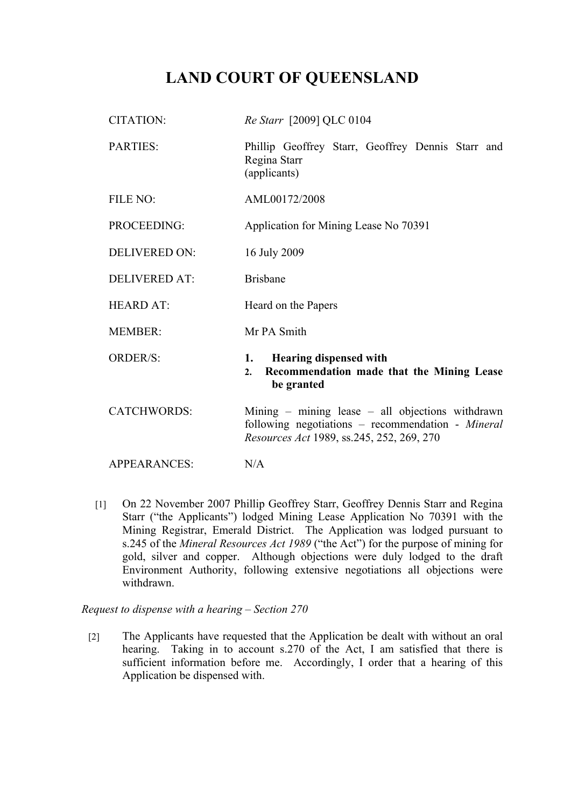## **LAND COURT OF QUEENSLAND**

| <b>CITATION:</b>     | Re Starr [2009] QLC 0104                                                                                                                               |
|----------------------|--------------------------------------------------------------------------------------------------------------------------------------------------------|
| PARTIES:             | Phillip Geoffrey Starr, Geoffrey Dennis Starr and<br>Regina Starr<br>(applicants)                                                                      |
| FILE NO:             | AML00172/2008                                                                                                                                          |
| PROCEEDING:          | Application for Mining Lease No 70391                                                                                                                  |
| <b>DELIVERED ON:</b> | 16 July 2009                                                                                                                                           |
| <b>DELIVERED AT:</b> | <b>Brisbane</b>                                                                                                                                        |
| <b>HEARD AT:</b>     | Heard on the Papers                                                                                                                                    |
| <b>MEMBER:</b>       | Mr PA Smith                                                                                                                                            |
| <b>ORDER/S:</b>      | <b>Hearing dispensed with</b><br>1.<br>Recommendation made that the Mining Lease<br>2.<br>be granted                                                   |
| <b>CATCHWORDS:</b>   | Mining $-$ mining lease $-$ all objections withdrawn<br>following negotiations – recommendation - Mineral<br>Resources Act 1989, ss.245, 252, 269, 270 |
| <b>APPEARANCES:</b>  | N/A                                                                                                                                                    |

[1] On 22 November 2007 Phillip Geoffrey Starr, Geoffrey Dennis Starr and Regina Starr ("the Applicants") lodged Mining Lease Application No 70391 with the Mining Registrar, Emerald District. The Application was lodged pursuant to s.245 of the *Mineral Resources Act 1989* ("the Act") for the purpose of mining for gold, silver and copper. Although objections were duly lodged to the draft Environment Authority, following extensive negotiations all objections were withdrawn.

*Request to dispense with a hearing – Section 270*

[2] The Applicants have requested that the Application be dealt with without an oral hearing. Taking in to account s.270 of the Act, I am satisfied that there is sufficient information before me. Accordingly, I order that a hearing of this Application be dispensed with.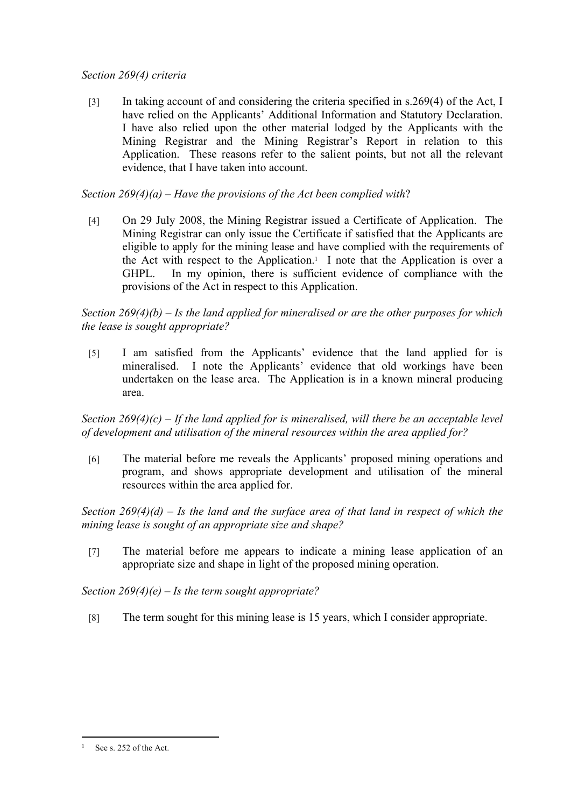## *Section 269(4) criteria*

[3] In taking account of and considering the criteria specified in s.269(4) of the Act, I have relied on the Applicants' Additional Information and Statutory Declaration. I have also relied upon the other material lodged by the Applicants with the Mining Registrar and the Mining Registrar's Report in relation to this Application. These reasons refer to the salient points, but not all the relevant evidence, that I have taken into account.

*Section 269(4)(a) – Have the provisions of the Act been complied with*?

[4] On 29 July 2008, the Mining Registrar issued a Certificate of Application. The Mining Registrar can only issue the Certificate if satisfied that the Applicants are eligible to apply for the mining lease and have complied with the requirements of the Act with respect to the Application.<sup>1</sup> I note that the Application is over a GHPL. In my opinion, there is sufficient evidence of compliance with the provisions of the Act in respect to this Application.

*Section 269(4)(b) – Is the land applied for mineralised or are the other purposes for which the lease is sought appropriate?*

[5] I am satisfied from the Applicants' evidence that the land applied for is mineralised. I note the Applicants' evidence that old workings have been undertaken on the lease area. The Application is in a known mineral producing area.

*Section 269(4)(c) – If the land applied for is mineralised, will there be an acceptable level of development and utilisation of the mineral resources within the area applied for?* 

[6] The material before me reveals the Applicants' proposed mining operations and program, and shows appropriate development and utilisation of the mineral resources within the area applied for.

*Section 269(4)(d) – Is the land and the surface area of that land in respect of which the mining lease is sought of an appropriate size and shape?* 

[7] The material before me appears to indicate a mining lease application of an appropriate size and shape in light of the proposed mining operation.

*Section 269(4)(e) – Is the term sought appropriate?*

[8] The term sought for this mining lease is 15 years, which I consider appropriate.

<sup>&</sup>lt;sup>1</sup> See s. 252 of the Act.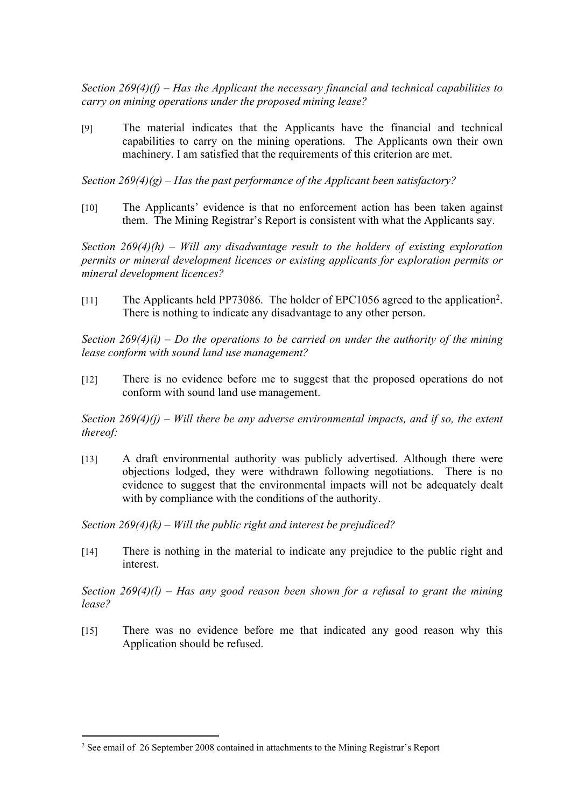*Section 269(4)(f) – Has the Applicant the necessary financial and technical capabilities to carry on mining operations under the proposed mining lease?* 

[9] The material indicates that the Applicants have the financial and technical capabilities to carry on the mining operations. The Applicants own their own machinery. I am satisfied that the requirements of this criterion are met.

*Section 269(4)(g) – Has the past performance of the Applicant been satisfactory?* 

[10] The Applicants' evidence is that no enforcement action has been taken against them. The Mining Registrar's Report is consistent with what the Applicants say.

*Section 269(4)(h) – Will any disadvantage result to the holders of existing exploration permits or mineral development licences or existing applicants for exploration permits or mineral development licences?* 

[11] The Applicants held PP73086. The holder of EPC1056 agreed to the application<sup>2</sup>. There is nothing to indicate any disadvantage to any other person.

*Section 269(4)(i) – Do the operations to be carried on under the authority of the mining lease conform with sound land use management?* 

[12] There is no evidence before me to suggest that the proposed operations do not conform with sound land use management.

*Section 269(4)(j) – Will there be any adverse environmental impacts, and if so, the extent thereof:*

[13] A draft environmental authority was publicly advertised. Although there were objections lodged, they were withdrawn following negotiations. There is no evidence to suggest that the environmental impacts will not be adequately dealt with by compliance with the conditions of the authority.

*Section 269(4)(k) – Will the public right and interest be prejudiced?* 

[14] There is nothing in the material to indicate any prejudice to the public right and interest.

*Section 269(4)(l) – Has any good reason been shown for a refusal to grant the mining lease?*

[15] There was no evidence before me that indicated any good reason why this Application should be refused.

<sup>2</sup> See email of 26 September 2008 contained in attachments to the Mining Registrar's Report